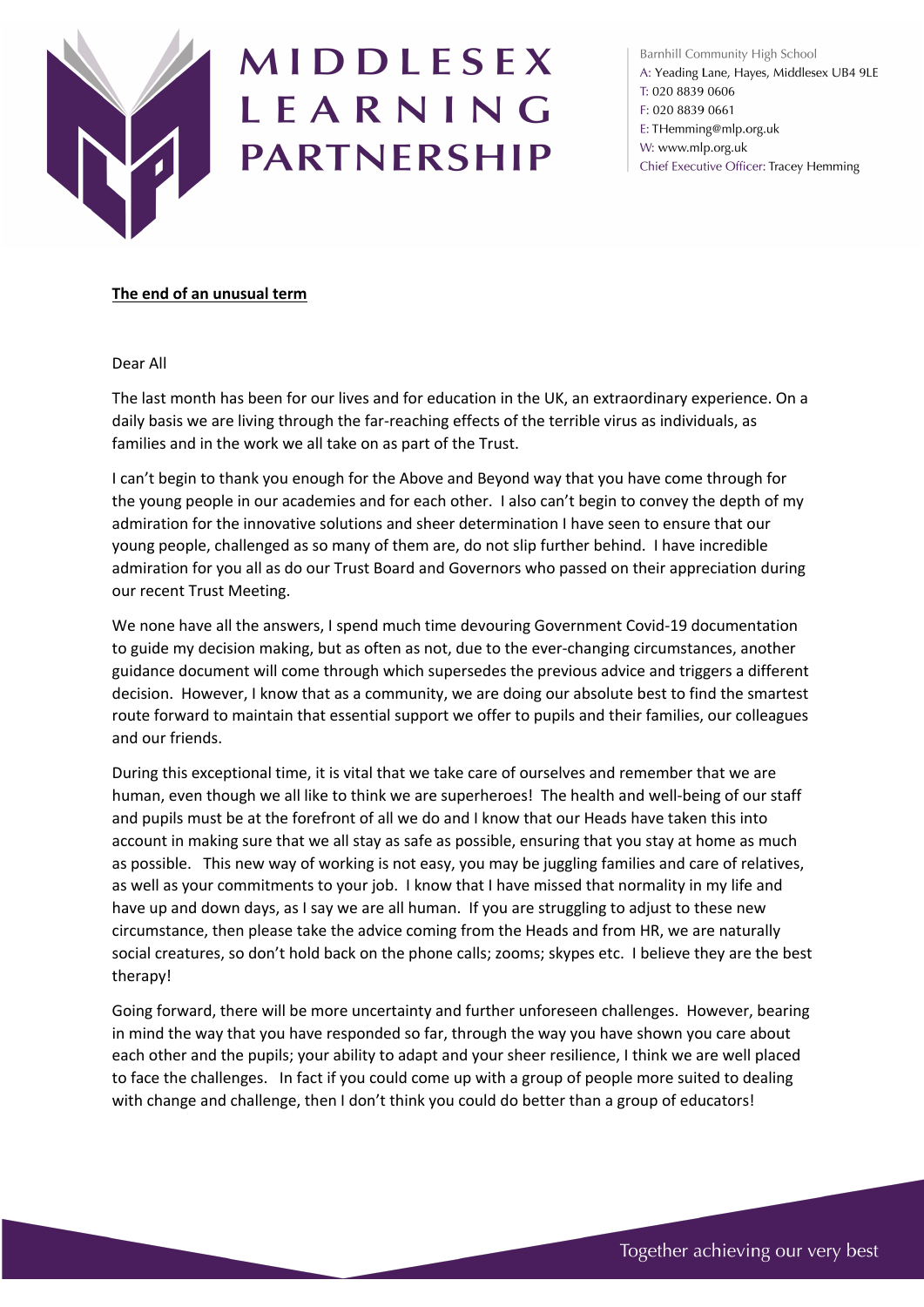

## MIDDLESEX LEARNING **PARTNERSHIP**

Barnhill Community High School A: Yeading Lane, Hayes, Middlesex UB4 9LE T: 020 8839 0606 F: 020 8839 0661 E: THemming@mlp.org.uk W: www.mlp.org.uk Chief Executive Officer: Tracey Hemming

## **The end of an unusual term**

Dear All

The last month has been for our lives and for education in the UK, an extraordinary experience. On a daily basis we are living through the far-reaching effects of the terrible virus as individuals, as families and in the work we all take on as part of the Trust.

I can't begin to thank you enough for the Above and Beyond way that you have come through for the young people in our academies and for each other. I also can't begin to convey the depth of my admiration for the innovative solutions and sheer determination I have seen to ensure that our young people, challenged as so many of them are, do not slip further behind. I have incredible admiration for you all as do our Trust Board and Governors who passed on their appreciation during our recent Trust Meeting.

We none have all the answers, I spend much time devouring Government Covid-19 documentation to guide my decision making, but as often as not, due to the ever-changing circumstances, another guidance document will come through which supersedes the previous advice and triggers a different decision. However, I know that as a community, we are doing our absolute best to find the smartest route forward to maintain that essential support we offer to pupils and their families, our colleagues and our friends.

During this exceptional time, it is vital that we take care of ourselves and remember that we are human, even though we all like to think we are superheroes! The health and well-being of our staff and pupils must be at the forefront of all we do and I know that our Heads have taken this into account in making sure that we all stay as safe as possible, ensuring that you stay at home as much as possible. This new way of working is not easy, you may be juggling families and care of relatives, as well as your commitments to your job. I know that I have missed that normality in my life and have up and down days, as I say we are all human. If you are struggling to adjust to these new circumstance, then please take the advice coming from the Heads and from HR, we are naturally social creatures, so don't hold back on the phone calls; zooms; skypes etc. I believe they are the best therapy!

Going forward, there will be more uncertainty and further unforeseen challenges. However, bearing in mind the way that you have responded so far, through the way you have shown you care about each other and the pupils; your ability to adapt and your sheer resilience, I think we are well placed to face the challenges. In fact if you could come up with a group of people more suited to dealing with change and challenge, then I don't think you could do better than a group of educators!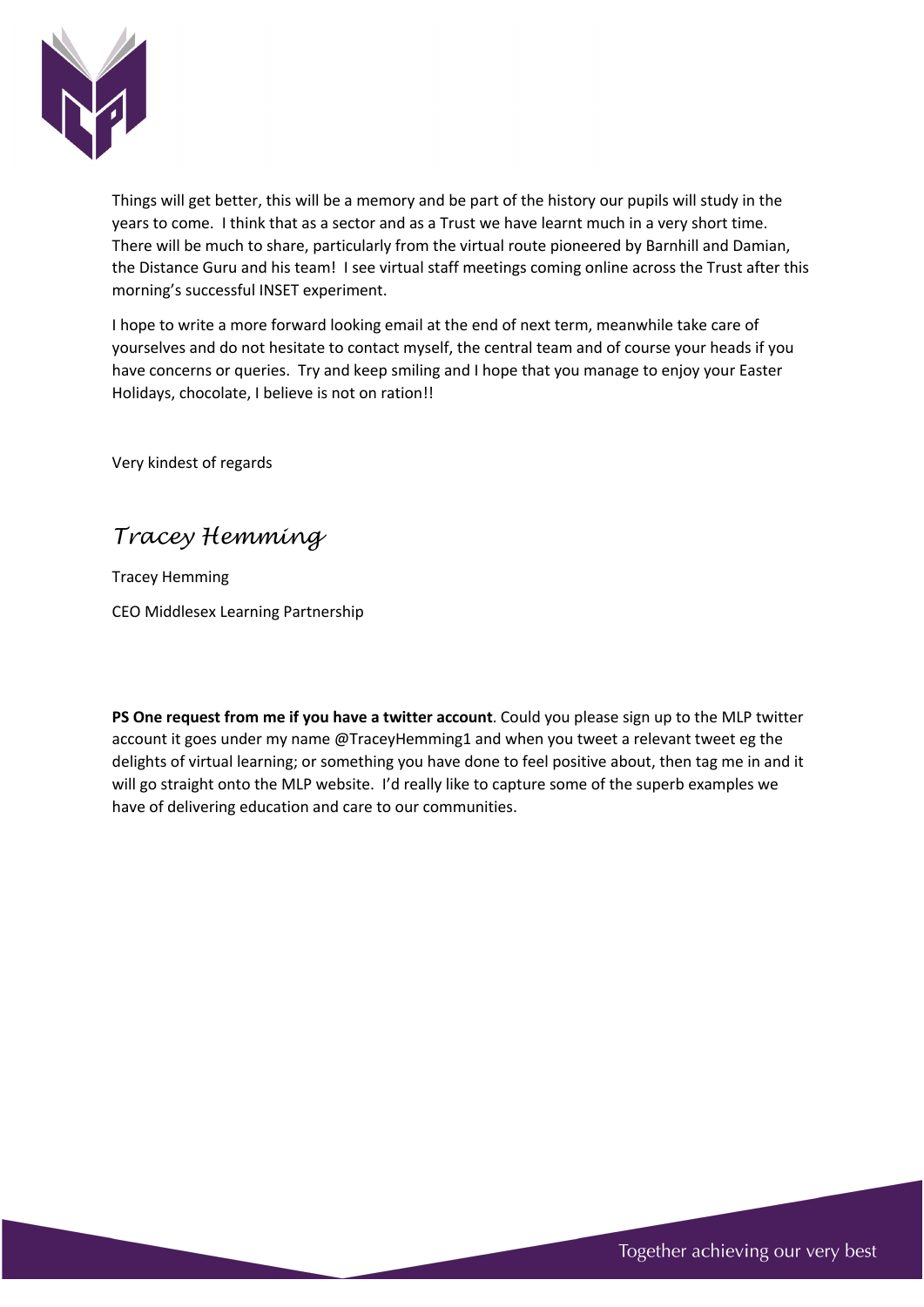

Things will get better, this will be a memory and be part of the history our pupils will study in the years to come. I think that as a sector and as a Trust we have learnt much in a very short time. There will be much to share, particularly from the virtual route pioneered by Barnhill and Damian, the Distance Guru and his team! I see virtual staff meetings coming online across the Trust after this morning's successful INSET experiment.

I hope to write a more forward looking email at the end of next term, meanwhile take care of yourselves and do not hesitate to contact myself, the central team and of course your heads if you have concerns or queries. Try and keep smiling and I hope that you manage to enjoy your Easter Holidays, chocolate, I believe is not on ration!!

Very kindest of regards

*Tracey Hemming*

Tracey Hemming CEO Middlesex Learning Partnership

**PS One request from me if you have a twitter account**. Could you please sign up to the MLP twitter account it goes under my name @TraceyHemming1 and when you tweet a relevant tweet eg the delights of virtual learning; or something you have done to feel positive about, then tag me in and it will go straight onto the MLP website. I'd really like to capture some of the superb examples we have of delivering education and care to our communities.